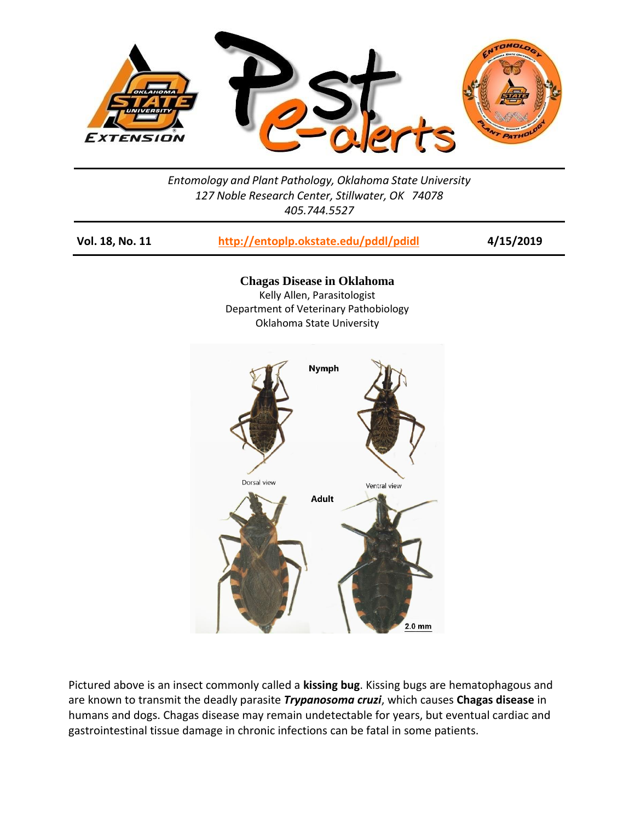

*Entomology and Plant Pathology, Oklahoma State University 127 Noble Research Center, Stillwater, OK 74078 405.744.5527*

| Vol. 18, No. 11 | http://entoplp.okstate.edu/pddl/pdidl                                                                                                  | 4/15/2019 |
|-----------------|----------------------------------------------------------------------------------------------------------------------------------------|-----------|
|                 | <b>Chagas Disease in Oklahoma</b><br>Kelly Allen, Parasitologist<br>Department of Veterinary Pathobiology<br>Oklahoma State University |           |
|                 | <b>Nymph</b><br>Dorsal view<br>Ventral view                                                                                            |           |
|                 | <b>Adult</b><br>$2.0 \text{ mm}$                                                                                                       |           |

Pictured above is an insect commonly called a **kissing bug**. Kissing bugs are hematophagous and are known to transmit the deadly parasite *Trypanosoma cruzi*, which causes **Chagas disease** in humans and dogs. Chagas disease may remain undetectable for years, but eventual cardiac and gastrointestinal tissue damage in chronic infections can be fatal in some patients.